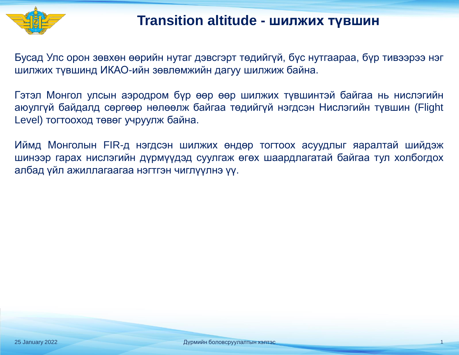

#### **Transition altitude - шилжих түвшин**

Бусад Улс орон зөвхөн өөрийн нутаг дэвсгэрт төдийгүй, бүс нутгаараа, бүр тивээрээ нэг шилжих түвшинд ИКАО-ийн зөвлөмжийн дагуу шилжиж байна.

Гэтэл Монгол улсын аэродром бүр өөр өөр шилжих түвшинтэй байгаа нь нислэгийн аюулгүй байдалд сөргөөр нөлөөлж байгаа төдийгүй нэгдсэн Нислэгийн түвшин (Flight Level) тогтооход төвөг учруулж байна.

Иймд Монголын FIR-д нэгдсэн шилжих өндөр тогтоох асуудлыг яаралтай шийдэж шинээр гарах нислэгийн дүрмүүдэд суулгаж өгөх шаардлагатай байгаа тул холбогдох албад үйл ажиллагаагаа нэгтгэн чиглүүлнэ үү.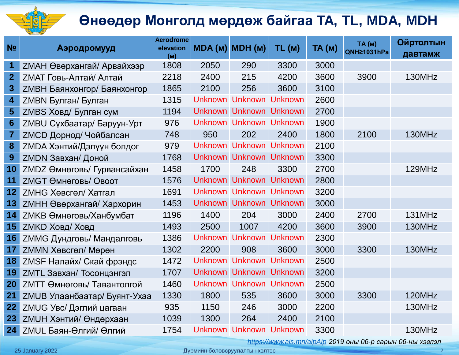

## **Өнөөдөр Монголд мөрдөж байгаа TA, TL, MDA, MDH**

| N <sub>2</sub>   | Аэродромууд                        | <b>Aerodrome</b><br>elevation<br>(M) | MDA (м) MDH (м) |                         | TL(M)          | TA(M) | TA(M)<br>QNH21031hPa | <b>Ойртолтын</b><br>давтамж |
|------------------|------------------------------------|--------------------------------------|-----------------|-------------------------|----------------|-------|----------------------|-----------------------------|
| 1                | <b>ZMAH Өвөрхангай/ Арвайхээр</b>  | 1808                                 | 2050            | 290                     | 3300           | 3000  |                      |                             |
| $\overline{2}$   | <b>ZMAT Говь-Алтай/ Алтай</b>      | 2218                                 | 2400            | 215                     | 4200           | 3600  | 3900                 | 130MHz                      |
| $\boldsymbol{3}$ | <b>ZMBH Баянхонгор/ Баянхонгор</b> | 1865                                 | 2100            | 256                     | 3600           | 3100  |                      |                             |
| $\boldsymbol{4}$ | ZMBN Булган/ Булган                | 1315                                 |                 | Unknown Unknown Unknown |                | 2600  |                      |                             |
| 5                | ZMBS Ховд/ Булган сум              | 1194                                 |                 | Unknown Unknown Unknown |                | 2700  |                      |                             |
| $6\phantom{1}6$  | ZMBU Сүхбаатар/ Баруун-Урт         | 976                                  |                 | Unknown Unknown Unknown |                | 1900  |                      |                             |
| $\overline{7}$   | <b>ZMCD Дорнод/ Чойбалсан</b>      | 748                                  | 950             | 202                     | 2400           | 1800  | 2100                 | 130MHz                      |
| 8                | <b>ZMDA Хэнтий/Дэлүүн болдог</b>   | 979                                  |                 | Unknown Unknown Unknown |                | 2100  |                      |                             |
| 9                | ZMDN Завхан/ Доной                 | 1768                                 |                 | Unknown Unknown Unknown |                | 3300  |                      |                             |
| 10               | ZMDZ Өмнөговь/ Гурвансайхан        | 1458                                 | 1700            | 248                     | 3300           | 2700  |                      | 129MHz                      |
| 11               | <b>ZMGT Өмнөговь/ Овоот</b>        | 1576                                 |                 | Unknown Unknown         | <b>Unknown</b> | 2800  |                      |                             |
| 12               | ZMHG Хөвсгөл/ Хатгал               | 1691                                 |                 | Unknown Unknown Unknown |                | 3200  |                      |                             |
| 13               | <b>ZMHH Өвөрхангай/ Хархорин</b>   | 1453                                 |                 | Unknown Unknown Unknown |                | 3000  |                      |                             |
| 14               | <b>ZMKB Өмнөговь/Ханбумбат</b>     | 1196                                 | 1400            | 204                     | 3000           | 2400  | 2700                 | 131MHz                      |
| 15               | <b>ZMKD Ховд/ Ховд</b>             | 1493                                 | 2500            | 1007                    | 4200           | 3600  | 3900                 | 130MHz                      |
| 16               | <b>ZMMG Дундговь/ Мандалговь</b>   | 1386                                 |                 | Unknown Unknown Unknown |                | 2300  |                      |                             |
| 17               | ZMMN Хөвсгөл/ Мөрөн                | 1302                                 | 2200            | 908                     | 3600           | 3000  | 3300                 | 130MHz                      |
| 18               | ZMSF Налайх/ Скай фрэндс           | 1472                                 |                 | Unknown Unknown         | <b>Unknown</b> | 2500  |                      |                             |
| 19               | ZMTL Завхан/ Тосонцэнгэл           | 1707                                 |                 | Unknown Unknown Unknown |                | 3200  |                      |                             |
| 20               | <b>ZMTT Өмнөговь/ Тавантолгой</b>  | 1460                                 |                 | Unknown Unknown Unknown |                | 2500  |                      |                             |
| 21               | ZMUB Улаанбаатар/ Буянт-Ухаа       | 1330                                 | 1800            | 535                     | 3600           | 3000  | 3300                 | 120MHz                      |
| 22               | ZMUG Увс/ Дэглий цагаан            | 935                                  | 1150            | 246                     | 3000           | 2200  |                      | 130MHz                      |
| 23               | <b>ZMUH Хэнтий/ Өндөрхаан</b>      | 1039                                 | 1300            | 264                     | 2400           | 2100  |                      |                             |
| 24               | ZMUL Баян-Өлгий/ Өлгий             | 1754                                 |                 | Unknown Unknown Unknown |                | 3300  |                      | 130MHz                      |

*<https://www.ais.mn/aipAip> 2019 оны 06-р сарын 06-ны хэвлэл*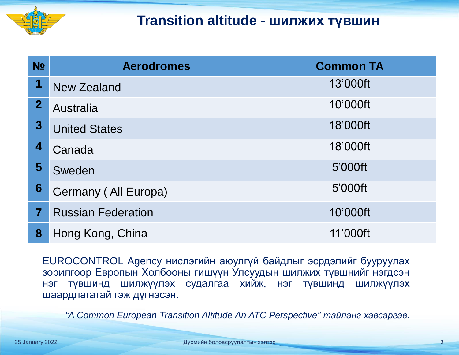

#### **Transition altitude - шилжих түвшин**

| N <sub>2</sub>          | <b>Aerodromes</b>         | <b>Common TA</b> |
|-------------------------|---------------------------|------------------|
| 1                       | New Zealand               | 13'000ft         |
| $\mathbf{2}$            | <b>Australia</b>          | 10'000ft         |
| $3\phantom{a}$          | <b>United States</b>      | 18'000ft         |
| 4                       | Canada                    | 18'000ft         |
| 5                       | Sweden                    | 5'000ft          |
| 6                       | Germany (All Europa)      | 5'000ft          |
| $\overline{\mathbf{7}}$ | <b>Russian Federation</b> | 10'000ft         |
| 8                       | Hong Kong, China          | 11'000ft         |

EUROCONTROL Agency нислэгийн аюулгүй байдлыг эсрдэлийг бууруулах зорилгоор Европын Холбооны гишүүн Улсуудын шилжих түвшнийг нэгдсэн нэг түвшинд шилжүүлэх судалгаа хийж, нэг түвшинд шилжүүлэх шаардлагатай гэж дүгнэсэн.

*"A Common European Transition Altitude An ATC Perspective" тайланг хавсаргав.*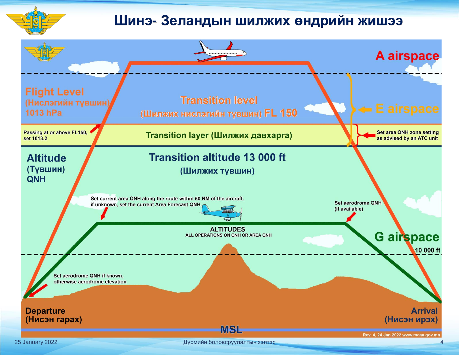

#### **Шинэ- Зеландын шилжих өндрийн жишээ**

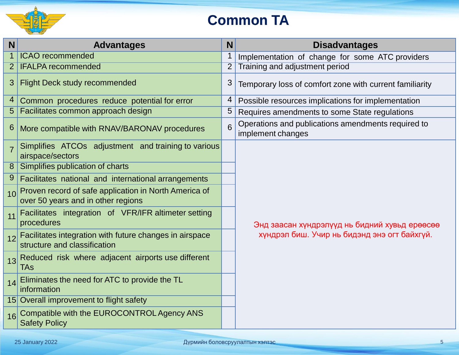

## **Common TA**

| N              | <b>Advantages</b>                                                                           |   | N<br><b>Disadvantages</b>                                               |  |  |  |  |
|----------------|---------------------------------------------------------------------------------------------|---|-------------------------------------------------------------------------|--|--|--|--|
| $\mathbf 1$    | <b>ICAO</b> recommended                                                                     | 1 | Implementation of change for some ATC providers                         |  |  |  |  |
| 2              | <b>IFALPA recommended</b>                                                                   |   | Training and adjustment period                                          |  |  |  |  |
| 3              | <b>Flight Deck study recommended</b>                                                        | 3 | Temporary loss of comfort zone with current familiarity                 |  |  |  |  |
| 4              | Common procedures reduce potential for error                                                | 4 | Possible resources implications for implementation                      |  |  |  |  |
| 5              | Facilitates common approach design                                                          | 5 | Requires amendments to some State regulations                           |  |  |  |  |
| 6              | More compatible with RNAV/BARONAV procedures                                                | 6 | Operations and publications amendments required to<br>implement changes |  |  |  |  |
| $\overline{7}$ | Simplifies ATCOs adjustment and training to various<br>airspace/sectors                     |   |                                                                         |  |  |  |  |
| 8 <sup>°</sup> | Simplifies publication of charts                                                            |   |                                                                         |  |  |  |  |
| 9              | Facilitates national and international arrangements                                         |   |                                                                         |  |  |  |  |
| 1 <sub>0</sub> | Proven record of safe application in North America of<br>over 50 years and in other regions |   |                                                                         |  |  |  |  |
| 11             | Facilitates integration of VFR/IFR altimeter setting<br>procedures                          |   | Энд заасан хүндрэлүүд нь бидний хувьд ерөөсөө                           |  |  |  |  |
| 12             | Facilitates integration with future changes in airspace<br>structure and classification     |   | хүндрэл биш. Учир нь бидэнд энэ огт байхгүй.                            |  |  |  |  |
| 13             | Reduced risk where adjacent airports use different<br><b>TAs</b>                            |   |                                                                         |  |  |  |  |
| 14             | Eliminates the need for ATC to provide the TL<br>information                                |   |                                                                         |  |  |  |  |
|                | 15 Overall improvement to flight safety                                                     |   |                                                                         |  |  |  |  |
| 16             | Compatible with the EUROCONTROL Agency ANS<br><b>Safety Policy</b>                          |   |                                                                         |  |  |  |  |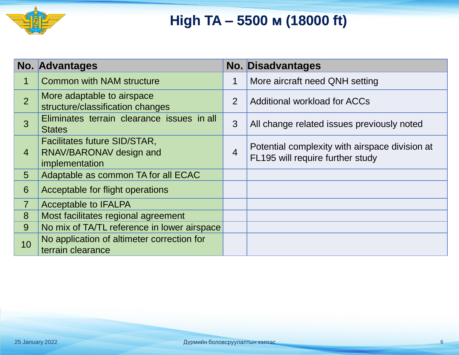

## **High TA – 5500 м (18000 ft)**

|                | No. Advantages                                                            |                | <b>No. Disadvantages</b>                                                           |
|----------------|---------------------------------------------------------------------------|----------------|------------------------------------------------------------------------------------|
| 1              | <b>Common with NAM structure</b>                                          | 1              | More aircraft need QNH setting                                                     |
| $\overline{2}$ | More adaptable to airspace<br>structure/classification changes            | 2              | <b>Additional workload for ACCs</b>                                                |
| 3              | Eliminates terrain clearance issues in all<br><b>States</b>               | 3              | All change related issues previously noted                                         |
| $\overline{4}$ | Facilitates future SID/STAR,<br>RNAV/BARONAV design and<br>implementation | $\overline{4}$ | Potential complexity with airspace division at<br>FL195 will require further study |
| 5              | Adaptable as common TA for all ECAC                                       |                |                                                                                    |
| 6              | Acceptable for flight operations                                          |                |                                                                                    |
| $\overline{7}$ | <b>Acceptable to IFALPA</b>                                               |                |                                                                                    |
| 8              | Most facilitates regional agreement                                       |                |                                                                                    |
| 9              | No mix of TA/TL reference in lower airspace                               |                |                                                                                    |
| 10             | No application of altimeter correction for<br>terrain clearance           |                |                                                                                    |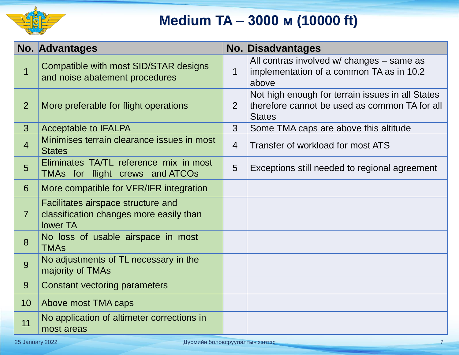

## **Medium TA – 3000 м (10000 ft)**

|                | <b>No. Advantages</b>                                                                            |                | <b>No. Disadvantages</b>                                                                                           |
|----------------|--------------------------------------------------------------------------------------------------|----------------|--------------------------------------------------------------------------------------------------------------------|
| $\overline{1}$ | Compatible with most SID/STAR designs<br>and noise abatement procedures                          | $\mathbf 1$    | All contras involved w/ changes - same as<br>implementation of a common TA as in 10.2<br>above                     |
| $\overline{2}$ | More preferable for flight operations                                                            | 2              | Not high enough for terrain issues in all States<br>therefore cannot be used as common TA for all<br><b>States</b> |
| 3 <sup>5</sup> | <b>Acceptable to IFALPA</b>                                                                      | 3              | Some TMA caps are above this altitude                                                                              |
| $\overline{4}$ | Minimises terrain clearance issues in most<br><b>States</b>                                      | $\overline{4}$ | Transfer of workload for most ATS                                                                                  |
| 5              | Eliminates TA/TL reference mix in most<br>TMAs for flight crews and ATCOs                        | 5              | Exceptions still needed to regional agreement                                                                      |
| 6              | More compatible for VFR/IFR integration                                                          |                |                                                                                                                    |
| $\overline{7}$ | Facilitates airspace structure and<br>classification changes more easily than<br><b>lower TA</b> |                |                                                                                                                    |
| 8              | No loss of usable airspace in most<br><b>TMAs</b>                                                |                |                                                                                                                    |
| 9              | No adjustments of TL necessary in the<br>majority of TMAs                                        |                |                                                                                                                    |
| 9              | Constant vectoring parameters                                                                    |                |                                                                                                                    |
| 10             | Above most TMA caps                                                                              |                |                                                                                                                    |
| 11             | No application of altimeter corrections in<br>most areas                                         |                |                                                                                                                    |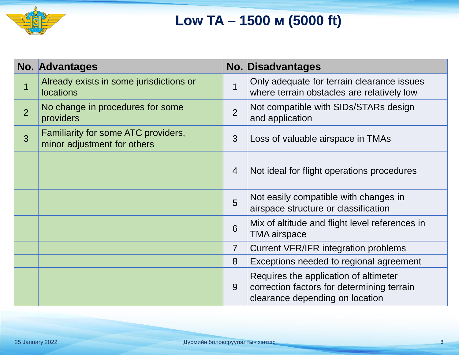

## **Low TA – 1500 м (5000 ft)**

|                | No. Advantages                                                     |                | <b>No. Disadvantages</b>                                                                                               |  |  |  |
|----------------|--------------------------------------------------------------------|----------------|------------------------------------------------------------------------------------------------------------------------|--|--|--|
| $\overline{1}$ | Already exists in some jurisdictions or<br><b>locations</b>        | $\overline{1}$ | Only adequate for terrain clearance issues<br>where terrain obstacles are relatively low                               |  |  |  |
| $\overline{2}$ | No change in procedures for some<br>providers                      | $\overline{2}$ | Not compatible with SIDs/STARs design<br>and application                                                               |  |  |  |
| $\overline{3}$ | Familiarity for some ATC providers,<br>minor adjustment for others | 3              | Loss of valuable airspace in TMAs                                                                                      |  |  |  |
|                |                                                                    | $\overline{4}$ | Not ideal for flight operations procedures                                                                             |  |  |  |
|                |                                                                    | 5              | Not easily compatible with changes in<br>airspace structure or classification                                          |  |  |  |
|                |                                                                    | 6              | Mix of altitude and flight level references in<br><b>TMA</b> airspace                                                  |  |  |  |
|                |                                                                    | $\overline{7}$ | Current VFR/IFR integration problems                                                                                   |  |  |  |
|                |                                                                    | 8              | Exceptions needed to regional agreement                                                                                |  |  |  |
|                |                                                                    | 9              | Requires the application of altimeter<br>correction factors for determining terrain<br>clearance depending on location |  |  |  |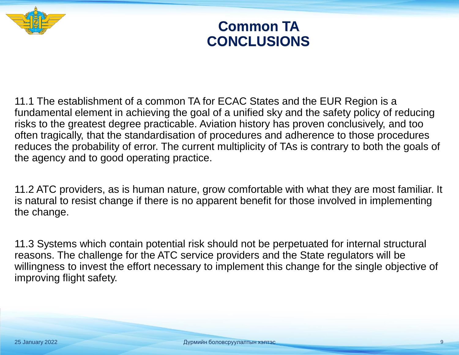

#### **Common TA CONCLUSIONS**

11.1 The establishment of a common TA for ECAC States and the EUR Region is a fundamental element in achieving the goal of a unified sky and the safety policy of reducing risks to the greatest degree practicable. Aviation history has proven conclusively, and too often tragically, that the standardisation of procedures and adherence to those procedures reduces the probability of error. The current multiplicity of TAs is contrary to both the goals of the agency and to good operating practice.

11.2 ATC providers, as is human nature, grow comfortable with what they are most familiar. It is natural to resist change if there is no apparent benefit for those involved in implementing the change.

11.3 Systems which contain potential risk should not be perpetuated for internal structural reasons. The challenge for the ATC service providers and the State regulators will be willingness to invest the effort necessary to implement this change for the single objective of improving flight safety.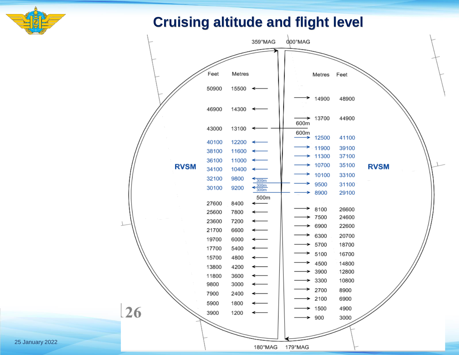

#### **Cruising altitude and flight level**